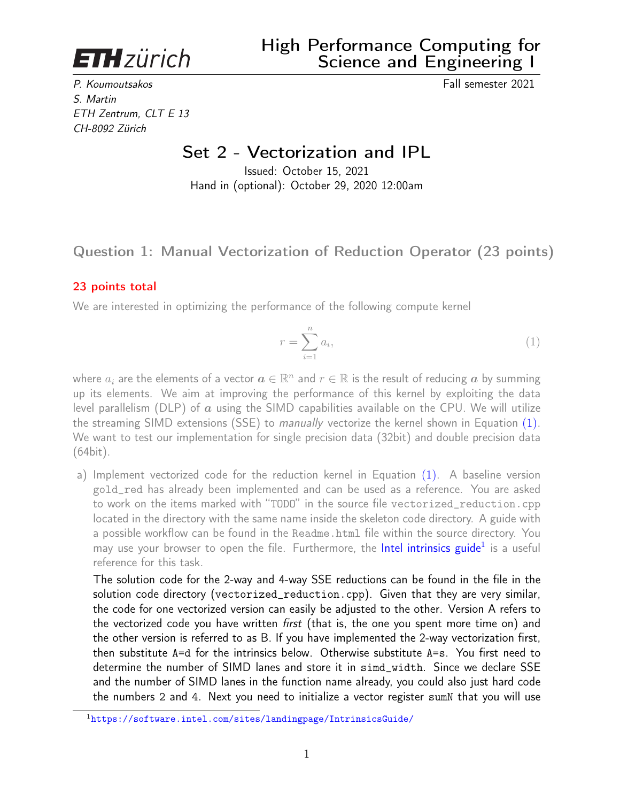<span id="page-0-1"></span>**ETH** zürich

P. Koumoutsakos Fall semester 2021 S. Martin ETH Zentrum, CLT E 13 CH-8092 Zürich

# Set 2 - Vectorization and IPL

Issued: October 15, 2021 Hand in (optional): October 29, 2020 12:00am

# Question 1: Manual Vectorization of Reduction Operator (23 points)

### 23 points total

We are interested in optimizing the performance of the following compute kernel

<span id="page-0-0"></span>
$$
r = \sum_{i=1}^{n} a_i,\tag{1}
$$

where  $a_i$  are the elements of a vector  $\boldsymbol{a}\in\mathbb{R}^n$  and  $r\in\mathbb{R}$  is the result of reducing  $\boldsymbol{a}$  by summing up its elements. We aim at improving the performance of this kernel by exploiting the data level parallelism (DLP) of  $\alpha$  using the SIMD capabilities available on the CPU. We will utilize the streaming SIMD extensions (SSE) to manually vectorize the kernel shown in Equation [\(1\)](#page-0-0). We want to test our implementation for single precision data (32bit) and double precision data (64bit).

a) Implement vectorized code for the reduction kernel in Equation [\(1\)](#page-0-0). A baseline version gold\_red has already been implemented and can be used as a reference. You are asked to work on the items marked with "TODO" in the source file vectorized\_reduction.cpp located in the directory with the same name inside the skeleton code directory. A guide with a possible workflow can be found in the Readme.html file within the source directory. You may use your browser to open the file. Furthermore, the [Intel intrinsics guide](https://software.intel.com/sites/landingpage/IntrinsicsGuide/)<sup>1</sup> is a useful reference for this task.

The solution code for the 2-way and 4-way SSE reductions can be found in the file in the solution code directory (vectorized\_reduction.cpp). Given that they are very similar, the code for one vectorized version can easily be adjusted to the other. Version A refers to the vectorized code you have written *first* (that is, the one you spent more time on) and the other version is referred to as B. If you have implemented the 2-way vectorization first, then substitute A=d for the intrinsics below. Otherwise substitute A=s. You first need to determine the number of SIMD lanes and store it in simd\_width. Since we declare SSE and the number of SIMD lanes in the function name already, you could also just hard code the numbers 2 and 4. Next you need to initialize a vector register sumN that you will use

<sup>1</sup><https://software.intel.com/sites/landingpage/IntrinsicsGuide/>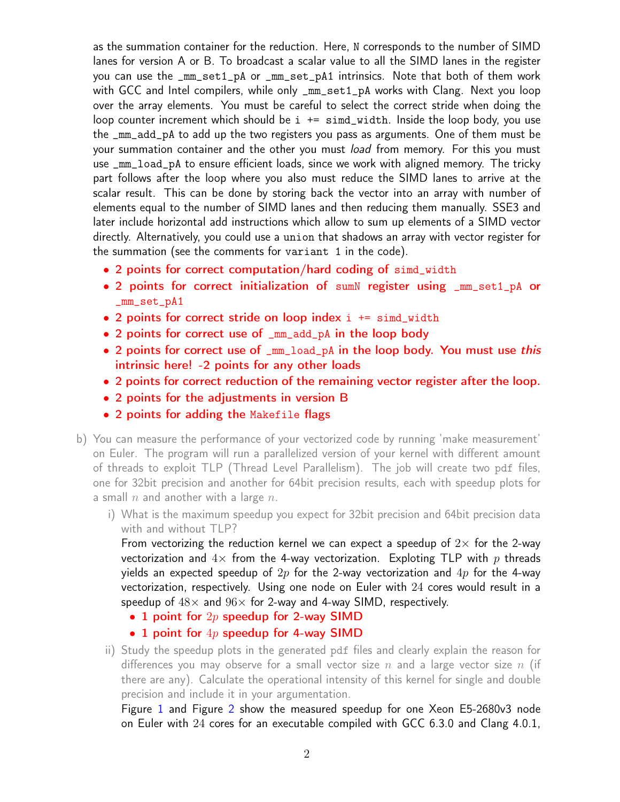as the summation container for the reduction. Here, N corresponds to the number of SIMD lanes for version A or B. To broadcast a scalar value to all the SIMD lanes in the register you can use the \_mm\_set1\_pA or \_mm\_set\_pA1 intrinsics. Note that both of them work with GCC and Intel compilers, while only \_mm\_set1\_pA works with Clang. Next you loop over the array elements. You must be careful to select the correct stride when doing the loop counter increment which should be  $i \leftarrow \text{simd}_\text{w}$  width. Inside the loop body, you use the \_mm\_add\_pA to add up the two registers you pass as arguments. One of them must be your summation container and the other you must *load* from memory. For this you must use \_mm\_load\_pA to ensure efficient loads, since we work with aligned memory. The tricky part follows after the loop where you also must reduce the SIMD lanes to arrive at the scalar result. This can be done by storing back the vector into an array with number of elements equal to the number of SIMD lanes and then reducing them manually. SSE3 and later include horizontal add instructions which allow to sum up elements of a SIMD vector directly. Alternatively, you could use a union that shadows an array with vector register for the summation (see the comments for variant 1 in the code).

- 2 points for correct computation/hard coding of simd\_width
- 2 points for correct initialization of sumN register using \_mm\_set1\_pA or \_mm\_set\_pA1
- 2 points for correct stride on loop index  $i$  += simd\_width
- 2 points for correct use of \_mm\_add\_pA in the loop body
- 2 points for correct use of \_mm\_load\_pA in the loop body. You must use this intrinsic here! -2 points for any other loads
- 2 points for correct reduction of the remaining vector register after the loop.
- 2 points for the adjustments in version B
- 2 points for adding the Makefile flags
- b) You can measure the performance of your vectorized code by running 'make measurement' on Euler. The program will run a parallelized version of your kernel with different amount of threads to exploit TLP (Thread Level Parallelism). The job will create two pdf files, one for 32bit precision and another for 64bit precision results, each with speedup plots for a small  $n$  and another with a large  $n$ .
	- i) What is the maximum speedup you expect for 32bit precision and 64bit precision data with and without TLP?

From vectorizing the reduction kernel we can expect a speedup of  $2\times$  for the 2-way vectorization and  $4\times$  from the 4-way vectorization. Exploting TLP with p threads yields an expected speedup of  $2p$  for the 2-way vectorization and  $4p$  for the 4-way vectorization, respectively. Using one node on Euler with 24 cores would result in a speedup of  $48\times$  and  $96\times$  for 2-way and 4-way SIMD, respectively.

- 1 point for  $2p$  speedup for 2-way SIMD
- 1 point for  $4p$  speedup for 4-way SIMD
- ii) Study the speedup plots in the generated pdf files and clearly explain the reason for differences you may observe for a small vector size n and a large vector size n (if there are any). Calculate the operational intensity of this kernel for single and double precision and include it in your argumentation.

Figure [1](#page-2-0) and Figure [2](#page-2-1) show the measured speedup for one Xeon E5-2680v3 node on Euler with 24 cores for an executable compiled with GCC 6.3.0 and Clang 4.0.1,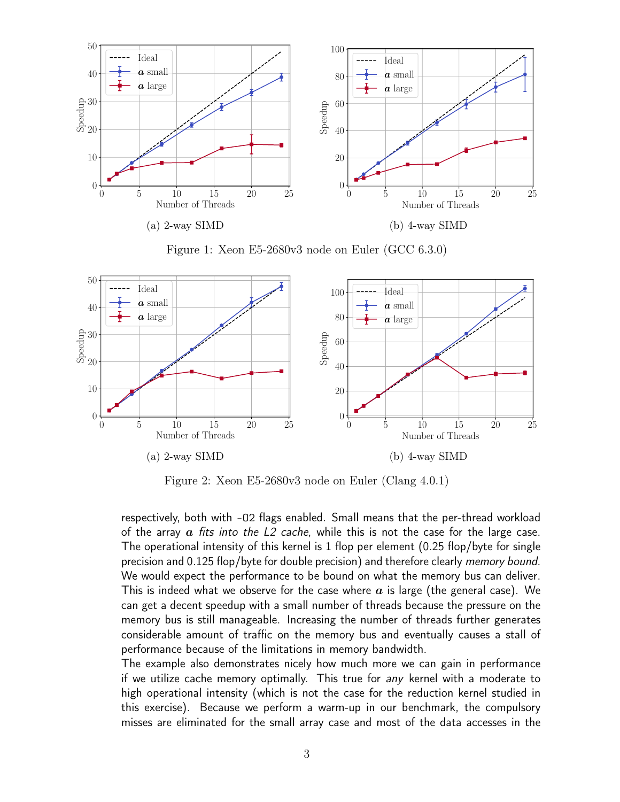<span id="page-2-0"></span>

Figure 1: Xeon E5-2680v3 node on Euler (GCC 6.3.0)

<span id="page-2-1"></span>

Figure 2: Xeon E5-2680v3 node on Euler (Clang 4.0.1)

respectively, both with -O2 flags enabled. Small means that the per-thread workload of the array  $\alpha$  fits into the L2 cache, while this is not the case for the large case. The operational intensity of this kernel is 1 flop per element (0.25 flop/byte for single precision and 0.125 flop/byte for double precision) and therefore clearly *memory bound*. We would expect the performance to be bound on what the memory bus can deliver. This is indeed what we observe for the case where  $a$  is large (the general case). We can get a decent speedup with a small number of threads because the pressure on the memory bus is still manageable. Increasing the number of threads further generates considerable amount of traffic on the memory bus and eventually causes a stall of performance because of the limitations in memory bandwidth.

The example also demonstrates nicely how much more we can gain in performance if we utilize cache memory optimally. This true for any kernel with a moderate to high operational intensity (which is not the case for the reduction kernel studied in this exercise). Because we perform a warm-up in our benchmark, the compulsory misses are eliminated for the small array case and most of the data accesses in the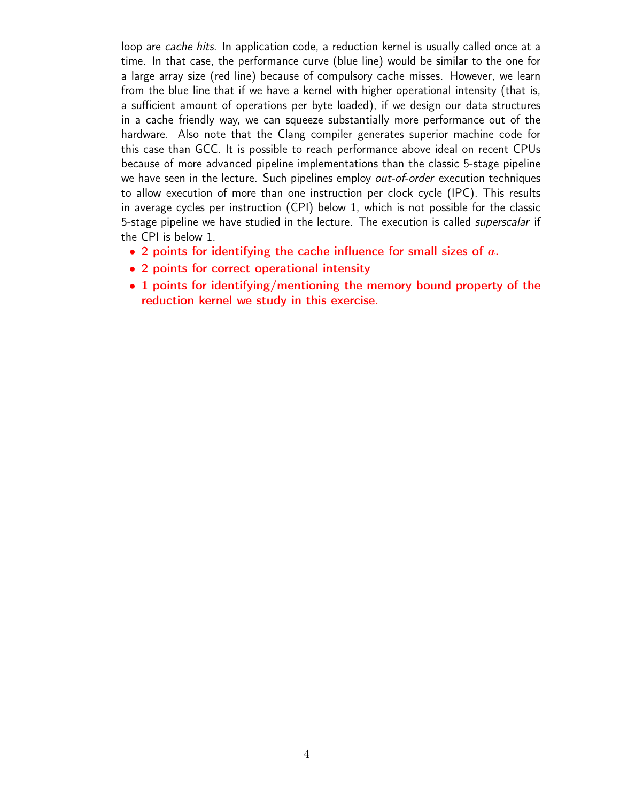loop are cache hits. In application code, a reduction kernel is usually called once at a time. In that case, the performance curve (blue line) would be similar to the one for a large array size (red line) because of compulsory cache misses. However, we learn from the blue line that if we have a kernel with higher operational intensity (that is, a sufficient amount of operations per byte loaded), if we design our data structures in a cache friendly way, we can squeeze substantially more performance out of the hardware. Also note that the Clang compiler generates superior machine code for this case than GCC. It is possible to reach performance above ideal on recent CPUs because of more advanced pipeline implementations than the classic 5-stage pipeline we have seen in the lecture. Such pipelines employ *out-of-order* execution techniques to allow execution of more than one instruction per clock cycle (IPC). This results in average cycles per instruction (CPI) below 1, which is not possible for the classic 5-stage pipeline we have studied in the lecture. The execution is called *superscalar* if the CPI is below 1.

- 2 points for identifying the cache influence for small sizes of  $a$ .
- 2 points for correct operational intensity
- 1 points for identifying/mentioning the memory bound property of the reduction kernel we study in this exercise.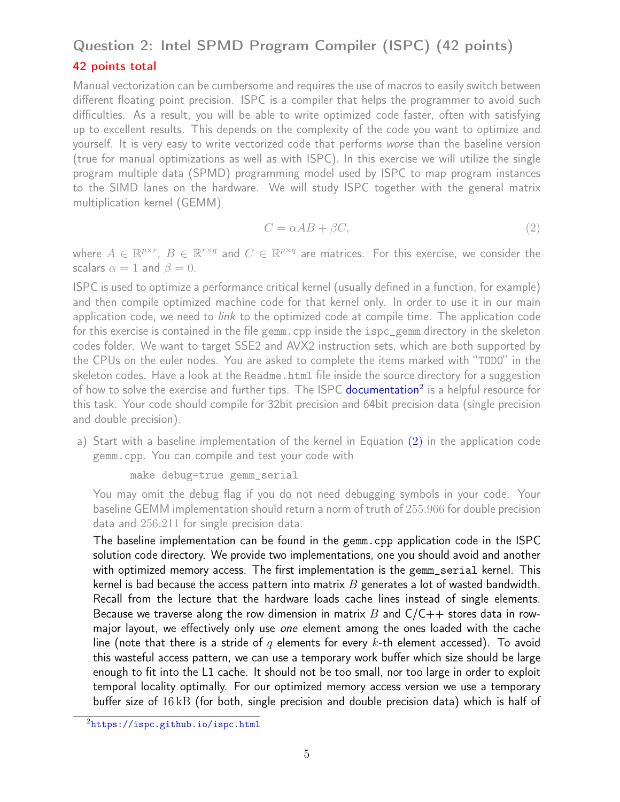# Question 2: Intel SPMD Program Compiler (ISPC) (42 points) 42 points total

Manual vectorization can be cumbersome and requires the use of macros to easily switch between different floating point precision. ISPC is a compiler that helps the programmer to avoid such difficulties. As a result, you will be able to write optimized code faster, often with satisfying up to excellent results. This depends on the complexity of the code you want to optimize and yourself. It is very easy to write vectorized code that performs worse than the baseline version (true for manual optimizations as well as with ISPC). In this exercise we will utilize the single program multiple data (SPMD) programming model used by ISPC to map program instances to the SIMD lanes on the hardware. We will study ISPC together with the general matrix multiplication kernel (GEMM)

<span id="page-4-0"></span>
$$
C = \alpha AB + \beta C,\tag{2}
$$

where  $A \in \mathbb{R}^{p \times r}$ ,  $B \in \mathbb{R}^{r \times q}$  and  $C \in \mathbb{R}^{p \times q}$  are matrices. For this exercise, we consider the scalars  $\alpha = 1$  and  $\beta = 0$ .

ISPC is used to optimize a performance critical kernel (usually defined in a function, for example) and then compile optimized machine code for that kernel only. In order to use it in our main application code, we need to *link* to the optimized code at compile time. The application code for this exercise is contained in the file gemm.cpp inside the ispc\_gemm directory in the skeleton codes folder. We want to target SSE2 and AVX2 instruction sets, which are both supported by the CPUs on the euler nodes. You are asked to complete the items marked with "TODO" in the skeleton codes. Have a look at the Readme.html file inside the source directory for a suggestion of how to solve the exercise and further tips. The ISPC [documentation](https://ispc.github.io/ispc.html)<sup>[2](#page-0-1)</sup> is a helpful resource for this task. Your code should compile for 32bit precision and 64bit precision data (single precision and double precision).

a) Start with a baseline implementation of the kernel in Equation [\(2\)](#page-4-0) in the application code gemm.cpp. You can compile and test your code with

```
make debug=true gemm_serial
```
You may omit the debug flag if you do not need debugging symbols in your code. Your baseline GEMM implementation should return a norm of truth of 255.966 for double precision data and 256.211 for single precision data.

The baseline implementation can be found in the gemm.cpp application code in the ISPC solution code directory. We provide two implementations, one you should avoid and another with optimized memory access. The first implementation is the gemm\_serial kernel. This kernel is bad because the access pattern into matrix  $B$  generates a lot of wasted bandwidth. Recall from the lecture that the hardware loads cache lines instead of single elements. Because we traverse along the row dimension in matrix B and  $C/C++$  stores data in rowmajor layout, we effectively only use one element among the ones loaded with the cache line (note that there is a stride of q elements for every k-th element accessed). To avoid this wasteful access pattern, we can use a temporary work buffer which size should be large enough to fit into the L1 cache. It should not be too small, nor too large in order to exploit temporal locality optimally. For our optimized memory access version we use a temporary buffer size of 16 kB (for both, single precision and double precision data) which is half of

<sup>2</sup><https://ispc.github.io/ispc.html>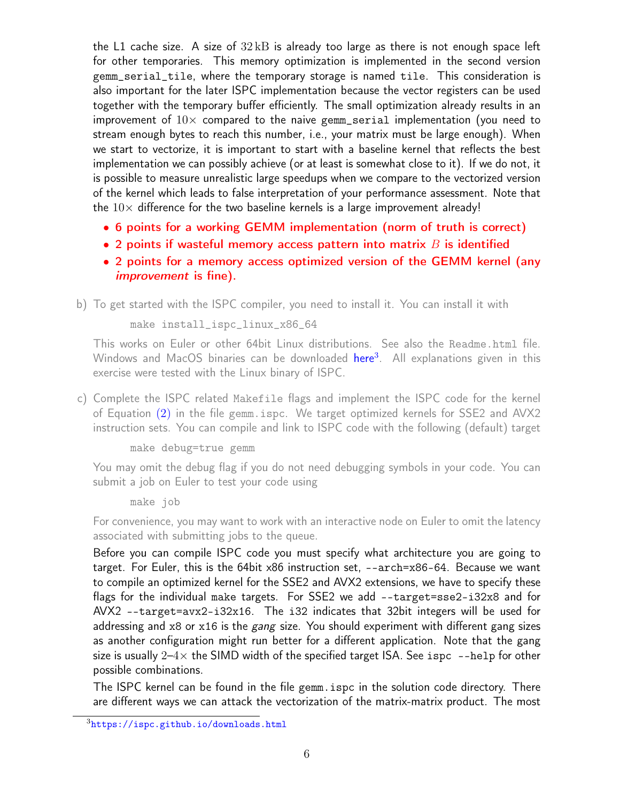the L1 cache size. A size of  $32 \text{ kB}$  is already too large as there is not enough space left for other temporaries. This memory optimization is implemented in the second version gemm\_serial\_tile, where the temporary storage is named tile. This consideration is also important for the later ISPC implementation because the vector registers can be used together with the temporary buffer efficiently. The small optimization already results in an improvement of  $10\times$  compared to the naive gemm\_serial implementation (you need to stream enough bytes to reach this number, i.e., your matrix must be large enough). When we start to vectorize, it is important to start with a baseline kernel that reflects the best implementation we can possibly achieve (or at least is somewhat close to it). If we do not, it is possible to measure unrealistic large speedups when we compare to the vectorized version of the kernel which leads to false interpretation of your performance assessment. Note that the  $10\times$  difference for the two baseline kernels is a large improvement already!

- 6 points for a working GEMM implementation (norm of truth is correct)
- 2 points if wasteful memory access pattern into matrix  $B$  is identified
- 2 points for a memory access optimized version of the GEMM kernel (any improvement is fine).

b) To get started with the ISPC compiler, you need to install it. You can install it with

make install\_ispc\_linux\_x86\_64

This works on Euler or other 64bit Linux distributions. See also the Readme.html file. Windows and MacOS binaries can be downloaded [here](https://ispc.github.io/downloads.html)<sup>[3](#page-0-1)</sup>. All explanations given in this exercise were tested with the Linux binary of ISPC.

c) Complete the ISPC related Makefile flags and implement the ISPC code for the kernel of Equation [\(2\)](#page-4-0) in the file gemm.ispc. We target optimized kernels for SSE2 and AVX2 instruction sets. You can compile and link to ISPC code with the following (default) target

make debug=true gemm

You may omit the debug flag if you do not need debugging symbols in your code. You can submit a job on Euler to test your code using

make job

For convenience, you may want to work with an interactive node on Euler to omit the latency associated with submitting jobs to the queue.

Before you can compile ISPC code you must specify what architecture you are going to target. For Euler, this is the 64bit x86 instruction set, --arch=x86-64. Because we want to compile an optimized kernel for the SSE2 and AVX2 extensions, we have to specify these flags for the individual make targets. For SSE2 we add --target=sse2-i32x8 and for AVX2 --target=avx2-i32x16. The i32 indicates that 32bit integers will be used for addressing and  $x8$  or  $x16$  is the *gang* size. You should experiment with different gang sizes as another configuration might run better for a different application. Note that the gang size is usually  $2-4\times$  the SIMD width of the specified target ISA. See ispc --help for other possible combinations.

The ISPC kernel can be found in the file gemm.ispc in the solution code directory. There are different ways we can attack the vectorization of the matrix-matrix product. The most

<sup>3</sup><https://ispc.github.io/downloads.html>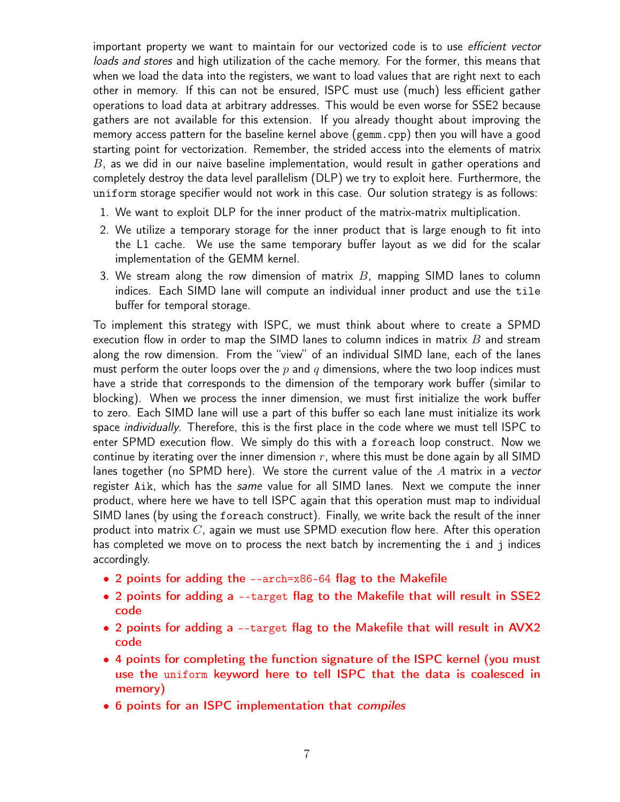important property we want to maintain for our vectorized code is to use efficient vector loads and stores and high utilization of the cache memory. For the former, this means that when we load the data into the registers, we want to load values that are right next to each other in memory. If this can not be ensured, ISPC must use (much) less efficient gather operations to load data at arbitrary addresses. This would be even worse for SSE2 because gathers are not available for this extension. If you already thought about improving the memory access pattern for the baseline kernel above (gemm.cpp) then you will have a good starting point for vectorization. Remember, the strided access into the elements of matrix  $B$ , as we did in our naive baseline implementation, would result in gather operations and completely destroy the data level parallelism (DLP) we try to exploit here. Furthermore, the uniform storage specifier would not work in this case. Our solution strategy is as follows:

- 1. We want to exploit DLP for the inner product of the matrix-matrix multiplication.
- 2. We utilize a temporary storage for the inner product that is large enough to fit into the L1 cache. We use the same temporary buffer layout as we did for the scalar implementation of the GEMM kernel.
- 3. We stream along the row dimension of matrix  $B$ , mapping SIMD lanes to column indices. Each SIMD lane will compute an individual inner product and use the tile buffer for temporal storage.

To implement this strategy with ISPC, we must think about where to create a SPMD execution flow in order to map the SIMD lanes to column indices in matrix  $B$  and stream along the row dimension. From the "view" of an individual SIMD lane, each of the lanes must perform the outer loops over the  $p$  and  $q$  dimensions, where the two loop indices must have a stride that corresponds to the dimension of the temporary work buffer (similar to blocking). When we process the inner dimension, we must first initialize the work buffer to zero. Each SIMD lane will use a part of this buffer so each lane must initialize its work space *individually*. Therefore, this is the first place in the code where we must tell ISPC to enter SPMD execution flow. We simply do this with a foreach loop construct. Now we continue by iterating over the inner dimension  $r$ , where this must be done again by all SIMD lanes together (no SPMD here). We store the current value of the  $A$  matrix in a vector register Aik, which has the same value for all SIMD lanes. Next we compute the inner product, where here we have to tell ISPC again that this operation must map to individual SIMD lanes (by using the foreach construct). Finally, we write back the result of the inner product into matrix  $C$ , again we must use SPMD execution flow here. After this operation has completed we move on to process the next batch by incrementing the i and j indices accordingly.

- 2 points for adding the --arch=x86-64 flag to the Makefile
- 2 points for adding a --target flag to the Makefile that will result in SSE2 code
- 2 points for adding a --target flag to the Makefile that will result in AVX2 code
- 4 points for completing the function signature of the ISPC kernel (you must use the uniform keyword here to tell ISPC that the data is coalesced in memory)
- 6 points for an ISPC implementation that *compiles*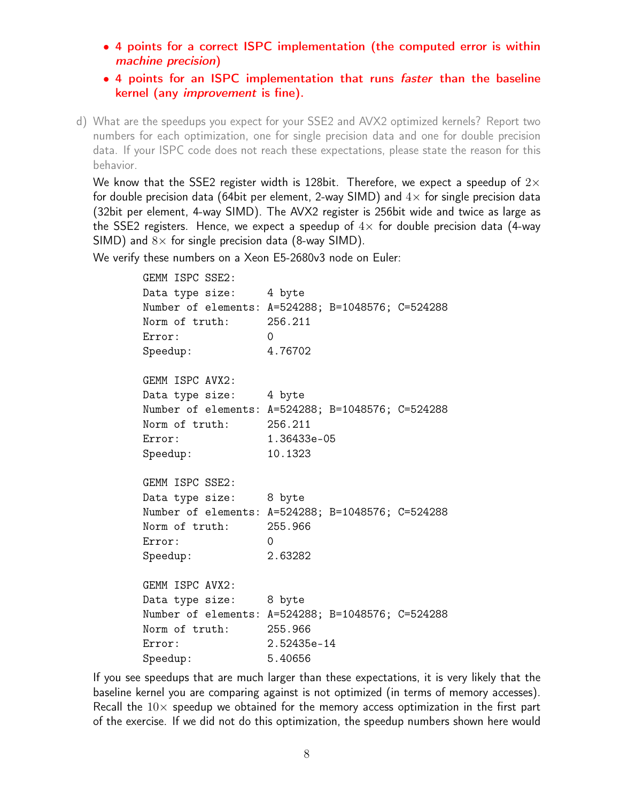- 4 points for a correct ISPC implementation (the computed error is within machine precision)
- 4 points for an ISPC implementation that runs faster than the baseline kernel (any improvement is fine).
- d) What are the speedups you expect for your SSE2 and AVX2 optimized kernels? Report two numbers for each optimization, one for single precision data and one for double precision data. If your ISPC code does not reach these expectations, please state the reason for this behavior.

We know that the SSE2 register width is 128bit. Therefore, we expect a speedup of  $2\times$ for double precision data (64bit per element, 2-way SIMD) and  $4\times$  for single precision data (32bit per element, 4-way SIMD). The AVX2 register is 256bit wide and twice as large as the SSE2 registers. Hence, we expect a speedup of  $4\times$  for double precision data (4-way SIMD) and  $8 \times$  for single precision data (8-way SIMD).

We verify these numbers on a Xeon E5-2680v3 node on Euler:

| GEMM ISPC SSE2:        |                                                   |
|------------------------|---------------------------------------------------|
| Data type size:        | 4 byte                                            |
|                        | Number of elements: A=524288; B=1048576; C=524288 |
| Norm of truth: 256.211 |                                                   |
| Error:                 | $\Omega$                                          |
| Speedup:               | 4.76702                                           |
| GEMM ISPC AVX2:        |                                                   |
| Data type size:        | 4 byte                                            |
|                        | Number of elements: A=524288; B=1048576; C=524288 |
| Norm of truth: 256.211 |                                                   |
| Error:                 | 1.36433e-05                                       |
| Speedup:               | 10.1323                                           |
| GEMM ISPC SSE2:        |                                                   |
| Data type size: 8 byte |                                                   |
|                        | Number of elements: A=524288; B=1048576; C=524288 |
| Norm of truth:         | 255.966                                           |
| Error:                 | $\Omega$                                          |
| Speedup:               | 2.63282                                           |
| GEMM ISPC AVX2:        |                                                   |
| Data type size:        | 8 byte                                            |
|                        | Number of elements: A=524288; B=1048576; C=524288 |
| Norm of truth:         | 255.966                                           |
| Error:                 | 2.52435e-14                                       |
| Speedup:               | 5.40656                                           |

If you see speedups that are much larger than these expectations, it is very likely that the baseline kernel you are comparing against is not optimized (in terms of memory accesses). Recall the  $10\times$  speedup we obtained for the memory access optimization in the first part of the exercise. If we did not do this optimization, the speedup numbers shown here would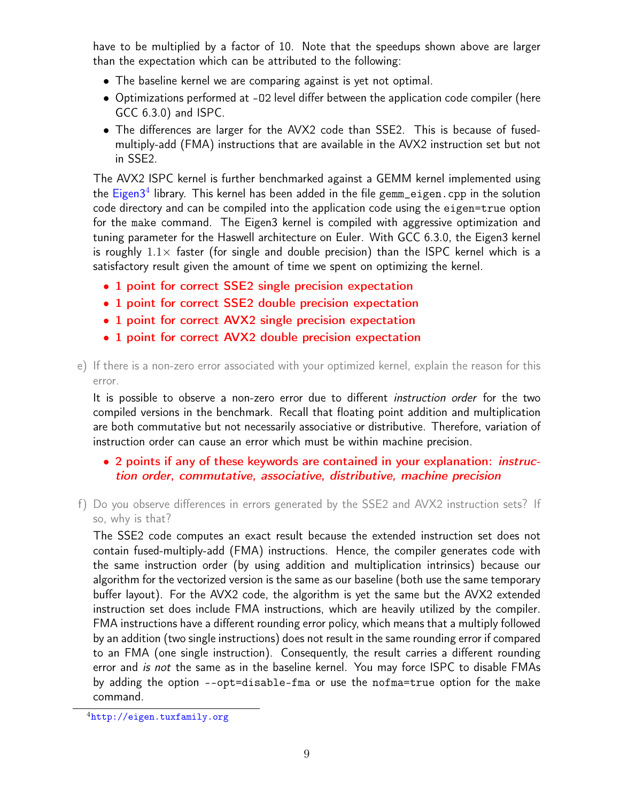have to be multiplied by a factor of 10. Note that the speedups shown above are larger than the expectation which can be attributed to the following:

- The baseline kernel we are comparing against is yet not optimal.
- Optimizations performed at -O2 level differ between the application code compiler (here GCC 6.3.0) and ISPC.
- The differences are larger for the AVX2 code than SSE2. This is because of fusedmultiply-add (FMA) instructions that are available in the AVX2 instruction set but not in SSE2.

The AVX2 ISPC kernel is further benchmarked against a GEMM kernel implemented using the [Eigen3](http://eigen.tuxfamily.org)<sup>[4](#page-0-1)</sup> library. This kernel has been added in the file gemm\_eigen.cpp in the solution code directory and can be compiled into the application code using the eigen=true option for the make command. The Eigen3 kernel is compiled with aggressive optimization and tuning parameter for the Haswell architecture on Euler. With GCC 6.3.0, the Eigen3 kernel is roughly  $1.1\times$  faster (for single and double precision) than the ISPC kernel which is a satisfactory result given the amount of time we spent on optimizing the kernel.

- 1 point for correct SSE2 single precision expectation
- 1 point for correct SSE2 double precision expectation
- 1 point for correct AVX2 single precision expectation
- 1 point for correct AVX2 double precision expectation
- e) If there is a non-zero error associated with your optimized kernel, explain the reason for this error.

It is possible to observe a non-zero error due to different *instruction order* for the two compiled versions in the benchmark. Recall that floating point addition and multiplication are both commutative but not necessarily associative or distributive. Therefore, variation of instruction order can cause an error which must be within machine precision.

## • 2 points if any of these keywords are contained in your explanation: *instruc*tion order, commutative, associative, distributive, machine precision

f) Do you observe differences in errors generated by the SSE2 and AVX2 instruction sets? If so, why is that?

The SSE2 code computes an exact result because the extended instruction set does not contain fused-multiply-add (FMA) instructions. Hence, the compiler generates code with the same instruction order (by using addition and multiplication intrinsics) because our algorithm for the vectorized version is the same as our baseline (both use the same temporary buffer layout). For the AVX2 code, the algorithm is yet the same but the AVX2 extended instruction set does include FMA instructions, which are heavily utilized by the compiler. FMA instructions have a different rounding error policy, which means that a multiply followed by an addition (two single instructions) does not result in the same rounding error if compared to an FMA (one single instruction). Consequently, the result carries a different rounding error and is not the same as in the baseline kernel. You may force ISPC to disable FMAs by adding the option --opt=disable-fma or use the nofma=true option for the make command.

<sup>4</sup><http://eigen.tuxfamily.org>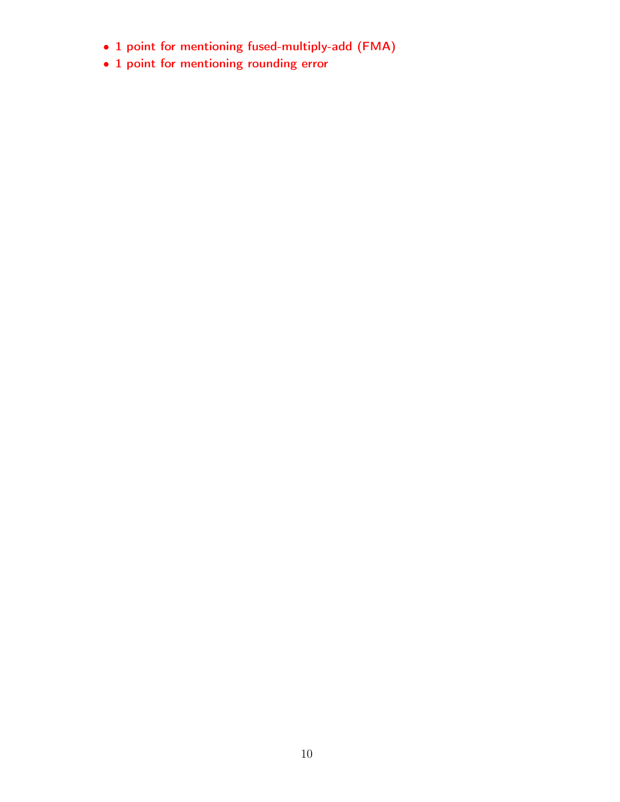- 1 point for mentioning fused-multiply-add (FMA)
- 1 point for mentioning rounding error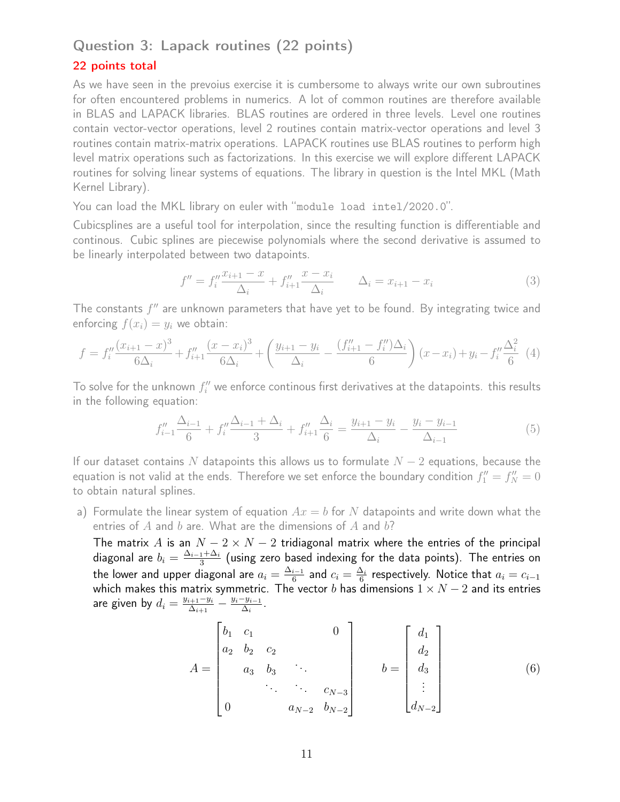## Question 3: Lapack routines (22 points)

#### 22 points total

As we have seen in the prevoius exercise it is cumbersome to always write our own subroutines for often encountered problems in numerics. A lot of common routines are therefore available in BLAS and LAPACK libraries. BLAS routines are ordered in three levels. Level one routines contain vector-vector operations, level 2 routines contain matrix-vector operations and level 3 routines contain matrix-matrix operations. LAPACK routines use BLAS routines to perform high level matrix operations such as factorizations. In this exercise we will explore different LAPACK routines for solving linear systems of equations. The library in question is the Intel MKL (Math Kernel Library).

You can load the MKL library on euler with "module load intel/2020.0".

Cubicsplines are a useful tool for interpolation, since the resulting function is differentiable and continous. Cubic splines are piecewise polynomials where the second derivative is assumed to be linearly interpolated between two datapoints.

$$
f'' = f_i'' \frac{x_{i+1} - x}{\Delta_i} + f_{i+1}'' \frac{x - x_i}{\Delta_i} \qquad \Delta_i = x_{i+1} - x_i
$$
 (3)

The constants  $f''$  are unknown parameters that have yet to be found. By integrating twice and enforcing  $f(x_i) = y_i$  we obtain:

$$
f = f_i'' \frac{(x_{i+1} - x)^3}{6\Delta_i} + f_{i+1}'' \frac{(x - x_i)^3}{6\Delta_i} + \left(\frac{y_{i+1} - y_i}{\Delta_i} - \frac{(f_{i+1}'' - f_i'')\Delta_i}{6}\right)(x - x_i) + y_i - f_i'' \frac{\Delta_i^2}{6} \tag{4}
$$

To solve for the unknown  $f_i''$  we enforce continous first derivatives at the datapoints. this results in the following equation:

$$
f''_{i-1} \frac{\Delta_{i-1}}{6} + f''_i \frac{\Delta_{i-1} + \Delta_i}{3} + f''_{i+1} \frac{\Delta_i}{6} = \frac{y_{i+1} - y_i}{\Delta_i} - \frac{y_i - y_{i-1}}{\Delta_{i-1}}
$$
(5)

If our dataset contains N datapoints this allows us to formulate  $N-2$  equations, because the equation is not valid at the ends. Therefore we set enforce the boundary condition  $f''_1 = f''_N = 0$ to obtain natural splines.

a) Formulate the linear system of equation  $Ax = b$  for N datapoints and write down what the entries of  $A$  and  $b$  are. What are the dimensions of  $A$  and  $b$ ?

The matrix A is an  $N - 2 \times N - 2$  tridiagonal matrix where the entries of the principal diagonal are  $b_i=\frac{\Delta_{i-1}+\Delta_i}{3}$  $\frac{1+\Delta_i}{3}$  (using zero based indexing for the data points). The entries on the lower and upper diagonal are  $a_i=\frac{\Delta_{i-1}}{6}$  $\frac{i-1}{6}$  and  $c_i=\frac{\Delta_i}{6}$  $\frac{\Delta_i}{6}$  respectively. Notice that  $a_i = c_{i-1}$ which makes this matrix symmetric. The vector  $b$  has dimensions  $1\times N-2$  and its entries are given by  $d_i = \frac{y_{i+1}-y_i}{\Delta_{i+1}}$  $\frac{a_{i+1}-y_i}{\Delta_{i+1}}-\frac{y_i-y_{i-1}}{\Delta_i}$  $\frac{-y_{i-1}}{\Delta_i}$  .

$$
A = \begin{bmatrix} b_1 & c_1 & & & & 0 \\ a_2 & b_2 & c_2 & & & \\ & a_3 & b_3 & & & \\ & & \ddots & \ddots & & \\ & & & a_{N-2} & b_{N-2} \end{bmatrix} \qquad b = \begin{bmatrix} d_1 \\ d_2 \\ d_3 \\ \vdots \\ d_{N-2} \end{bmatrix}
$$
 (6)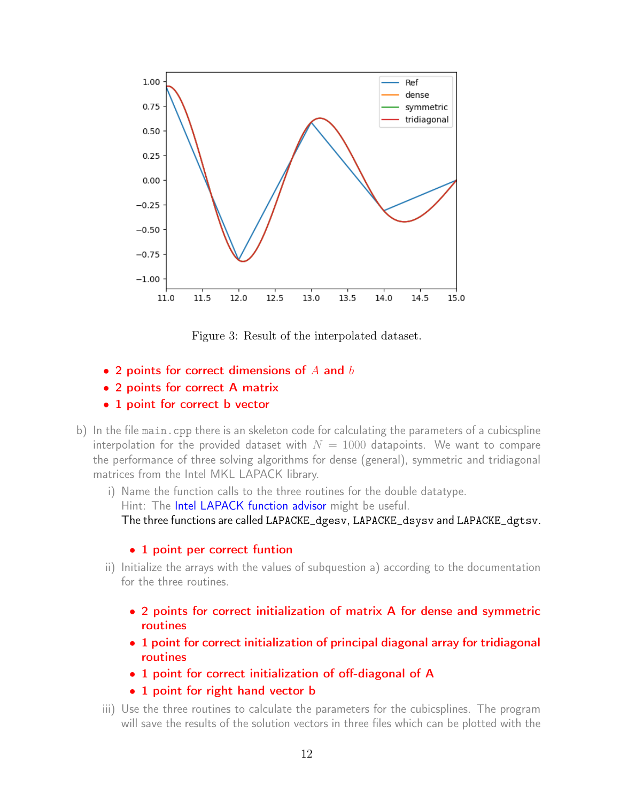

Figure 3: Result of the interpolated dataset.

- 2 points for correct dimensions of  $A$  and  $b$
- 2 points for correct A matrix
- 1 point for correct b vector
- b) In the file main.cpp there is an skeleton code for calculating the parameters of a cubicspline interpolation for the provided dataset with  $N = 1000$  datapoints. We want to compare the performance of three solving algorithms for dense (general), symmetric and tridiagonal matrices from the Intel MKL LAPACK library.
	- i) Name the function calls to the three routines for the double datatype. Hint: The [Intel LAPACK function advisor](https://software.intel.com/content/www/us/en/develop/tools/oneapi/components/onemkl/function-finding-advisor.html) might be useful. The three functions are called LAPACKE\_dgesv, LAPACKE\_dsysv and LAPACKE\_dgtsv.

### • 1 point per correct funtion

- ii) Initialize the arrays with the values of subquestion a) according to the documentation for the three routines.
	- 2 points for correct initialization of matrix A for dense and symmetric routines
	- 1 point for correct initialization of principal diagonal array for tridiagonal routines
	- 1 point for correct initialization of off-diagonal of A
	- 1 point for right hand vector **b**
- iii) Use the three routines to calculate the parameters for the cubicsplines. The program will save the results of the solution vectors in three files which can be plotted with the